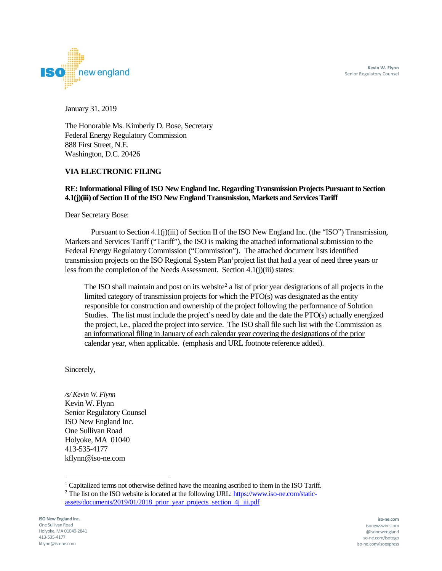**Kevin W. Flynn** Senior Regulatory Counsel



January 31, 2019

The Honorable Ms. Kimberly D. Bose, Secretary Federal Energy Regulatory Commission 888 First Street, N.E. Washington, D.C. 20426

#### **VIA ELECTRONIC FILING**

#### **RE: Informational Filing of ISO New England Inc. Regarding Transmission Projects Pursuant to Section 4.1(j)(iii) of Section II of the ISO New England Transmission, Markets and Services Tariff**

Dear Secretary Bose:

Pursuant to Section 4.1(j)(iii) of Section II of the ISO New England Inc. (the "ISO") Transmission, Markets and Services Tariff ("Tariff"), the ISO is making the attached informational submission to the Federal Energy Regulatory Commission ("Commission"). The attached document lists identified transmission projects on the ISO Regional System Plan<sup>[1](#page-0-0)</sup> project list that had a year of need three years or less from the completion of the Needs Assessment. Section 4.1(j)(iii) states:

The ISO shall maintain and post on its website<sup>2</sup> a list of prior year designations of all projects in the limited category of transmission projects for which the  $PTO(s)$  was designated as the entity responsible for construction and ownership of the project following the performance of Solution Studies. The list must include the project's need by date and the date the PTO(s) actually energized the project, i.e., placed the project into service. The ISO shall file such list with the Commission as an informational filing in January of each calendar year covering the designations of the prior calendar year, when applicable. (emphasis and URL footnote reference added).

Sincerely,

*/s/ Kevin W. Flynn* Kevin W. Flynn Senior Regulatory Counsel ISO New England Inc. One Sullivan Road Holyoke, MA 01040 413-535-4177 kflynn@iso-ne.com

j  $1$  Capitalized terms not otherwise defined have the meaning ascribed to them in the ISO Tariff.

<span id="page-0-1"></span><span id="page-0-0"></span> $2$  The list on the ISO website is located at the following URL[: https://www.iso-ne.com/static](https://www.iso-ne.com/static-assets/documents/2019/01/2018_prior_year_projects_section_4j_iii.pdf)assets/documents/2019/01/2018\_prior\_vear\_projects\_section\_4j\_iii.pdf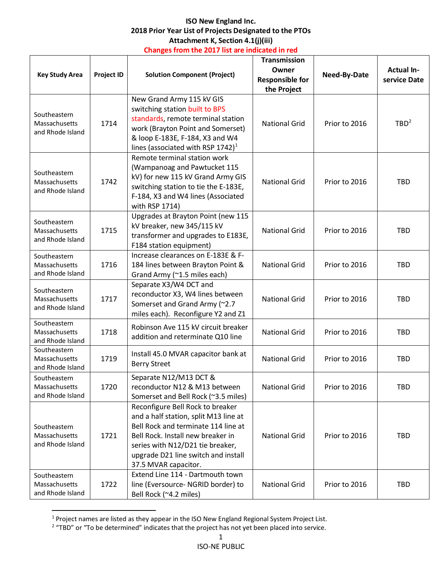# **ISO New England Inc. 2018 Prior Year List of Projects Designated to the PTOs Attachment K, Section 4.1(j)(iii) Changes from the 2017 list are indicated in red**

| <b>Key Study Area</b>                             | <b>Project ID</b> | <b>Solution Component (Project)</b>                                                                                                                                                                                                                      | <b>Transmission</b><br>Owner<br><b>Responsible for</b><br>the Project | Need-By-Date  | <b>Actual In-</b><br>service Date |
|---------------------------------------------------|-------------------|----------------------------------------------------------------------------------------------------------------------------------------------------------------------------------------------------------------------------------------------------------|-----------------------------------------------------------------------|---------------|-----------------------------------|
| Southeastern<br>Massachusetts<br>and Rhode Island | 1714              | New Grand Army 115 kV GIS<br>switching station built to BPS<br>standards, remote terminal station<br>work (Brayton Point and Somerset)<br>& loop E-183E, F-184, X3 and W4<br>lines (associated with RSP $1742$ ) <sup>1</sup>                            | <b>National Grid</b>                                                  | Prior to 2016 | TBD <sup>2</sup>                  |
| Southeastern<br>Massachusetts<br>and Rhode Island | 1742              | Remote terminal station work<br>(Wampanoag and Pawtucket 115<br>kV) for new 115 kV Grand Army GIS<br>switching station to tie the E-183E,<br>F-184, X3 and W4 lines (Associated<br>with RSP 1714)                                                        | <b>National Grid</b>                                                  | Prior to 2016 | <b>TBD</b>                        |
| Southeastern<br>Massachusetts<br>and Rhode Island | 1715              | Upgrades at Brayton Point (new 115<br>kV breaker, new 345/115 kV<br>transformer and upgrades to E183E,<br>F184 station equipment)                                                                                                                        | <b>National Grid</b>                                                  | Prior to 2016 | <b>TBD</b>                        |
| Southeastern<br>Massachusetts<br>and Rhode Island | 1716              | Increase clearances on E-183E & F-<br>184 lines between Brayton Point &<br>Grand Army (~1.5 miles each)                                                                                                                                                  | <b>National Grid</b>                                                  | Prior to 2016 | <b>TBD</b>                        |
| Southeastern<br>Massachusetts<br>and Rhode Island | 1717              | Separate X3/W4 DCT and<br>reconductor X3, W4 lines between<br>Somerset and Grand Army (~2.7<br>miles each). Reconfigure Y2 and Z1                                                                                                                        | <b>National Grid</b>                                                  | Prior to 2016 | <b>TBD</b>                        |
| Southeastern<br>Massachusetts<br>and Rhode Island | 1718              | Robinson Ave 115 kV circuit breaker<br>addition and reterminate Q10 line                                                                                                                                                                                 | <b>National Grid</b>                                                  | Prior to 2016 | <b>TBD</b>                        |
| Southeastern<br>Massachusetts<br>and Rhode Island | 1719              | Install 45.0 MVAR capacitor bank at<br><b>Berry Street</b>                                                                                                                                                                                               | <b>National Grid</b>                                                  | Prior to 2016 | <b>TBD</b>                        |
| Southeastern<br>Massachusetts<br>and Rhode Island | 1720              | Separate N12/M13 DCT &<br>reconductor N12 & M13 between<br>Somerset and Bell Rock (~3.5 miles)                                                                                                                                                           | <b>National Grid</b>                                                  | Prior to 2016 | <b>TBD</b>                        |
| Southeastern<br>Massachusetts<br>and Rhode Island | 1721              | Reconfigure Bell Rock to breaker<br>and a half station, split M13 line at<br>Bell Rock and terminate 114 line at<br>Bell Rock. Install new breaker in<br>series with N12/D21 tie breaker,<br>upgrade D21 line switch and install<br>37.5 MVAR capacitor. | <b>National Grid</b>                                                  | Prior to 2016 | <b>TBD</b>                        |
| Southeastern<br>Massachusetts<br>and Rhode Island | 1722              | Extend Line 114 - Dartmouth town<br>line (Eversource- NGRID border) to<br>Bell Rock (~4.2 miles)                                                                                                                                                         | <b>National Grid</b>                                                  | Prior to 2016 | <b>TBD</b>                        |

<span id="page-1-0"></span> <sup>1</sup> Project names are listed as they appear in the ISO New England Regional System Project List.

<span id="page-1-1"></span><sup>2</sup> "TBD" or "To be determined" indicates that the project has not yet been placed into service.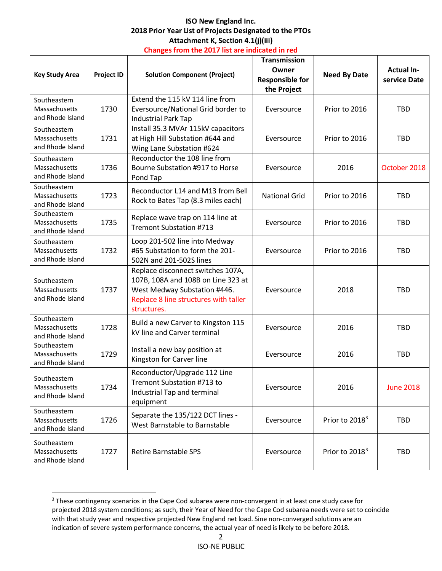### **ISO New England Inc. 2018 Prior Year List of Projects Designated to the PTOs Attachment K, Section 4.1(j)(iii) Changes from the 2017 list are indicated in red**

| <b>Key Study Area</b>                             | <b>Project ID</b> | <b>Solution Component (Project)</b>                                                                                                                             | <b>Transmission</b><br>Owner<br><b>Responsible for</b><br>the Project | <b>Need By Date</b>        | <b>Actual In-</b><br>service Date |
|---------------------------------------------------|-------------------|-----------------------------------------------------------------------------------------------------------------------------------------------------------------|-----------------------------------------------------------------------|----------------------------|-----------------------------------|
| Southeastern<br>Massachusetts<br>and Rhode Island | 1730              | Extend the 115 kV 114 line from<br>Eversource/National Grid border to<br><b>Industrial Park Tap</b>                                                             | Eversource                                                            | Prior to 2016              | <b>TBD</b>                        |
| Southeastern<br>Massachusetts<br>and Rhode Island | 1731              | Install 35.3 MVAr 115kV capacitors<br>at High Hill Substation #644 and<br>Wing Lane Substation #624                                                             | Eversource                                                            | Prior to 2016              | <b>TBD</b>                        |
| Southeastern<br>Massachusetts<br>and Rhode Island | 1736              | Reconductor the 108 line from<br>Bourne Substation #917 to Horse<br>Pond Tap                                                                                    | Eversource                                                            | 2016                       | October 2018                      |
| Southeastern<br>Massachusetts<br>and Rhode Island | 1723              | Reconductor L14 and M13 from Bell<br>Rock to Bates Tap (8.3 miles each)                                                                                         | <b>National Grid</b>                                                  | Prior to 2016              | <b>TBD</b>                        |
| Southeastern<br>Massachusetts<br>and Rhode Island | 1735              | Replace wave trap on 114 line at<br><b>Tremont Substation #713</b>                                                                                              | Eversource                                                            | Prior to 2016              | <b>TBD</b>                        |
| Southeastern<br>Massachusetts<br>and Rhode Island | 1732              | Loop 201-502 line into Medway<br>#65 Substation to form the 201-<br>502N and 201-502S lines                                                                     | Eversource                                                            | Prior to 2016              | <b>TBD</b>                        |
| Southeastern<br>Massachusetts<br>and Rhode Island | 1737              | Replace disconnect switches 107A,<br>107B, 108A and 108B on Line 323 at<br>West Medway Substation #446.<br>Replace 8 line structures with taller<br>structures. | Eversource                                                            | 2018                       | <b>TBD</b>                        |
| Southeastern<br>Massachusetts<br>and Rhode Island | 1728              | Build a new Carver to Kingston 115<br>kV line and Carver terminal                                                                                               | Eversource                                                            | 2016                       | <b>TBD</b>                        |
| Southeastern<br>Massachusetts<br>and Rhode Island | 1729              | Install a new bay position at<br>Kingston for Carver line                                                                                                       | Eversource                                                            | 2016                       | <b>TBD</b>                        |
| Southeastern<br>Massachusetts<br>and Rhode Island | 1734              | Reconductor/Upgrade 112 Line<br>Tremont Substation #713 to<br>Industrial Tap and terminal<br>equipment                                                          | Eversource                                                            | 2016                       | <b>June 2018</b>                  |
| Southeastern<br>Massachusetts<br>and Rhode Island | 1726              | Separate the 135/122 DCT lines -<br>West Barnstable to Barnstable                                                                                               | Eversource                                                            | Prior to 2018 <sup>3</sup> | TBD                               |
| Southeastern<br>Massachusetts<br>and Rhode Island | 1727              | <b>Retire Barnstable SPS</b>                                                                                                                                    | Eversource                                                            | Prior to 2018 <sup>3</sup> | <b>TBD</b>                        |

<span id="page-2-1"></span><span id="page-2-0"></span><sup>&</sup>lt;sup>3</sup> These contingency scenarios in the Cape Cod subarea were non-convergent in at least one study case for projected 2018 system conditions; as such, their Year of Need for the Cape Cod subarea needs were set to coincide with that study year and respective projected New England net load. Sine non-converged solutions are an indication of severe system performance concerns, the actual year of need is likely to be before 2018.